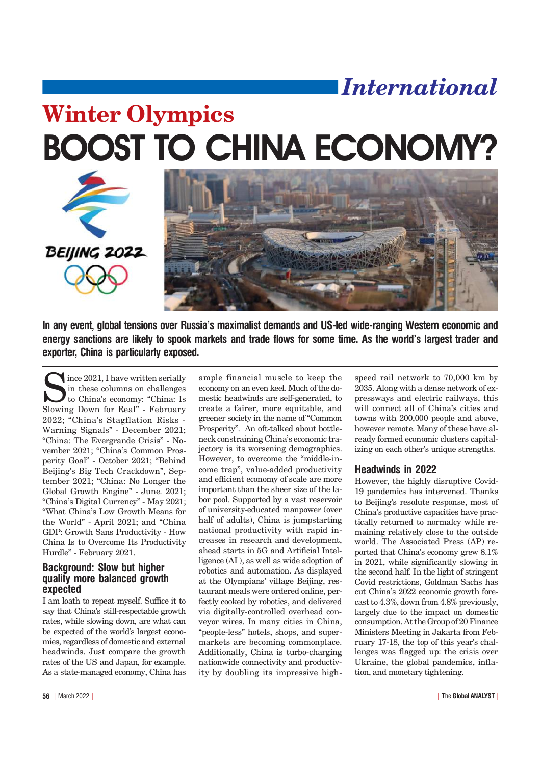# *International*

# BOOST TO CHINA ECONOMY? Winter Olympics





In any event, global tensions over Russia's maximalist demands and US-led wide-ranging Western economic and energy sanctions are likely to spook markets and trade flows for some time. As the world's largest trader and exporter, China is particularly exposed.

ince 2021, I have written serially in these columns on challenges to China's economy: "China: Is Slowing Down for Real" - February 2022; "China's Stagflation Risks -Warning Signals" - December 2021; "China: The Evergrande Crisis" - November 2021; "China's Common Prosperity Goal" - October 2021; "Behind Beijing's Big Tech Crackdown", September 2021; "China: No Longer the Global Growth Engine" - June. 2021; "China's Digital Currency" - May 2021; What Chinas Low Growth Means for the World" - April 2021; and "China GDP: Growth Sans Productivity - How China Is to Overcome Its Productivity Hurdle" - February 2021.

# **Background: Slow but higher** quality more balanced growth expected

I am loath to repeat myself. Suffice it to say that China's still-respectable growth rates, while slowing down, are what can be expected of the world's largest economies, regardless of domestic and external headwinds. Just compare the growth rates of the US and Japan, for example. As a state-managed economy, China has

ample financial muscle to keep the economy on an even keel. Much of the domestic headwinds are self-generated, to create a fairer, more equitable, and greener society in the name of Common Prosperity". An oft-talked about bottleneck constraining China's economic trajectory is its worsening demographics. However, to overcome the "middle-income trap", value-added productivity and efficient economy of scale are more important than the sheer size of the labor pool. Supported by a vast reservoir of university-educated manpower (over half of adults), China is jumpstarting national productivity with rapid increases in research and development, ahead starts in 5G and Artificial Intelligence (AI ), as well as wide adoption of robotics and automation. As displayed at the Olympians' village Beijing, restaurant meals were ordered online, perfectly cooked by robotics, and delivered via digitally-controlled overhead conveyor wires. In many cities in China, "people-less" hotels, shops, and supermarkets are becoming commonplace. Additionally, China is turbo-charging nationwide connectivity and productivity by doubling its impressive high-

speed rail network to 70,000 km by 2035. Along with a dense network of expressways and electric railways, this will connect all of China's cities and towns with 200,000 people and above, however remote. Many of these have already formed economic clusters capitalizing on each other's unique strengths.

# **Headwinds in 2022**

However, the highly disruptive Covid-19 pandemics has intervened. Thanks to Beijing's resolute response, most of China's productive capacities have practically returned to normalcy while remaining relatively close to the outside world. The Associated Press (AP) reported that China's economy grew  $8.1\%$ in 2021, while significantly slowing in the second half. In the light of stringent Covid restrictions, Goldman Sachs has cut China's 2022 economic growth forecast to 4.3%, down from 4.8% previously, largely due to the impact on domestic consumption. At the Group of 20 Finance Ministers Meeting in Jakarta from February 17-18, the top of this year's challenges was flagged up: the crisis over Ukraine, the global pandemics, inflation, and monetary tightening.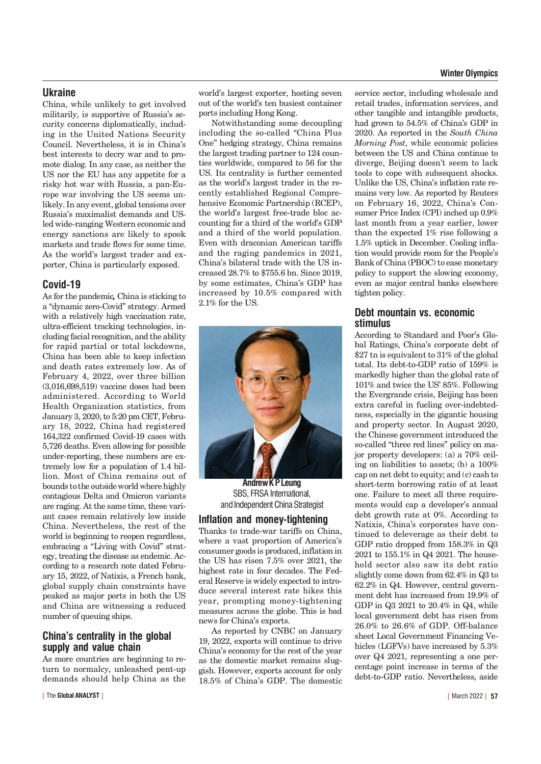#### **Winter Olympics**

#### **Ukraine**

China, while unlikely to get involved militarily, is supportive of Russia's security concerns diplomatically, including in the United Nations Security Council. Nevertheless, it is in China's best interests to decry war and to promote dialog. In any case, as neither the US nor the EU has any appetite for a risky hot war with Russia, a pan-Europe war involving the US seems unlikely. In any event, global tensions over Russia's maximalist demands and USled wide-ranging Western economic and energy sanctions are likely to spook markets and trade flows for some time. As the world's largest trader and exporter, China is particularly exposed.

### Covid-19

As for the pandemic*,* China is sticking to a "dynamic zero-Covid" strategy. Armed with a relatively high vaccination rate, ultra-efficient tracking technologies, including facial recognition, and the ability for rapid partial or total lockdowns, China has been able to keep infection and death rates extremely low. As of February 4, 2022, over three billion (3,016,698,519) vaccine doses had been administered. According to World Health Organization statistics, from January 3, 2020, to 5:20 pm CET, February 18, 2022, China had registered 164,322 confirmed Covid-19 cases with 5,726 deaths. Even allowing for possible under-reporting, these numbers are extremely low for a population of 1.4 billion. Most of China remains out of bounds to the outside world where highly contagious Delta and Omicron variants are raging. At the same time, these variant cases remain relatively low inside China. Nevertheless, the rest of the world is beginning to reopen regardless, embracing a "Living with Covid" strategy, treating the disease as endemic. According to a research note dated February 15, 2022, of Natixis, a French bank, global supply chain constraints have peaked as major ports in both the US and China are witnessing a reduced number of queuing ships.

# China's centrality in the global supply and value chain

As more countries are beginning to return to normalcy, unleashed pent-up demands should help China as the world's largest exporter, hosting seven out of the world's ten busiest container ports including Hong Kong.

Notwithstanding some decoupling including the so-called "China Plus One" hedging strategy, China remains the largest trading partner to 124 counties worldwide, compared to 56 for the US. Its centrality is further cemented as the world's largest trader in the recently established Regional Comprehensive Economic Partnership (RCEP), the world's largest free-trade bloc accounting for a third of the world's GDP and a third of the world population. Even with draconian American tariffs and the raging pandemics in 2021, China's bilateral trade with the US increased 28.7% to \$755.6 bn. Since 2019, by some estimates, China's GDP has increased by 10.5% compared with 2.1% for the US.



**Andrew KP Leung** SBS. FRSA International. and Independent China Strategist

#### Inflation and money-tightening

Thanks to trade-war tariffs on China, where a vast proportion of America's consumer goods is produced, inflation in the US has risen 7.5% over 2021, the highest rate in four decades. The Federal Reserve is widely expected to introduce several interest rate hikes this year, prompting money-tightening measures across the globe. This is bad news for China's exports.

As reported by CNBC on January 19, 2022, exports will continue to drive China's economy for the rest of the year as the domestic market remains sluggish. However, exports account for only 18.5% of China's GDP. The domestic

service sector, including wholesale and retail trades, information services, and other tangible and intangible products, had grown to 54.5% of China's GDP in 2020. As reported in the *South China Morning Post*, while economic policies between the US and China continue to diverge, Beijing doesn't seem to lack tools to cope with subsequent shocks. Unlike the US, China's inflation rate remains very low. As reported by Reuters on February 16, 2022, China's Consumer Price Index (CPI) inched up 0.9% last month from a year earlier, lower than the expected 1% rise following a 1.5% uptick in December. Cooling inflation would provide room for the People's Bank of China (PBOC) to ease monetary policy to support the slowing economy, even as major central banks elsewhere tighten policy.

# Debt mountain vs. economic stimulus

According to Standard and Poor's Global Ratings, China's corporate debt of \$27 tn is equivalent to 31% of the global total. Its debt-to-GDP ratio of 159% is markedly higher than the global rate of 101% and twice the US' 85%. Following the Evergrande crisis, Beijing has been extra careful in fueling over-indebtedness, especially in the gigantic housing and property sector. In August 2020, the Chinese government introduced the so-called "three red lines" policy on major property developers: (a) a 70% ceiling on liabilities to assets; (b) a 100% cap on net debt to equity; and (c) cash to short-term borrowing ratio of at least one. Failure to meet all three requirements would cap a developer's annual debt growth rate at 0%. According to Natixis, China's corporates have continued to deleverage as their debt to GDP ratio dropped from 158.3% in Q3 2021 to 155.1% in Q4 2021. The household sector also saw its debt ratio slightly come down from 62.4% in Q3 to 62.2% in Q4. However, central government debt has increased from 19.9% of GDP in Q3 2021 to 20.4% in Q4, while local government debt has risen from 26.0% to 26.6% of GDP. Off-balance sheet Local Government Financing Vehicles (LGFVs) have increased by 5.3% over Q4 2021, representing a one percentage point increase in terms of the debt-to-GDP ratio. Nevertheless, aside